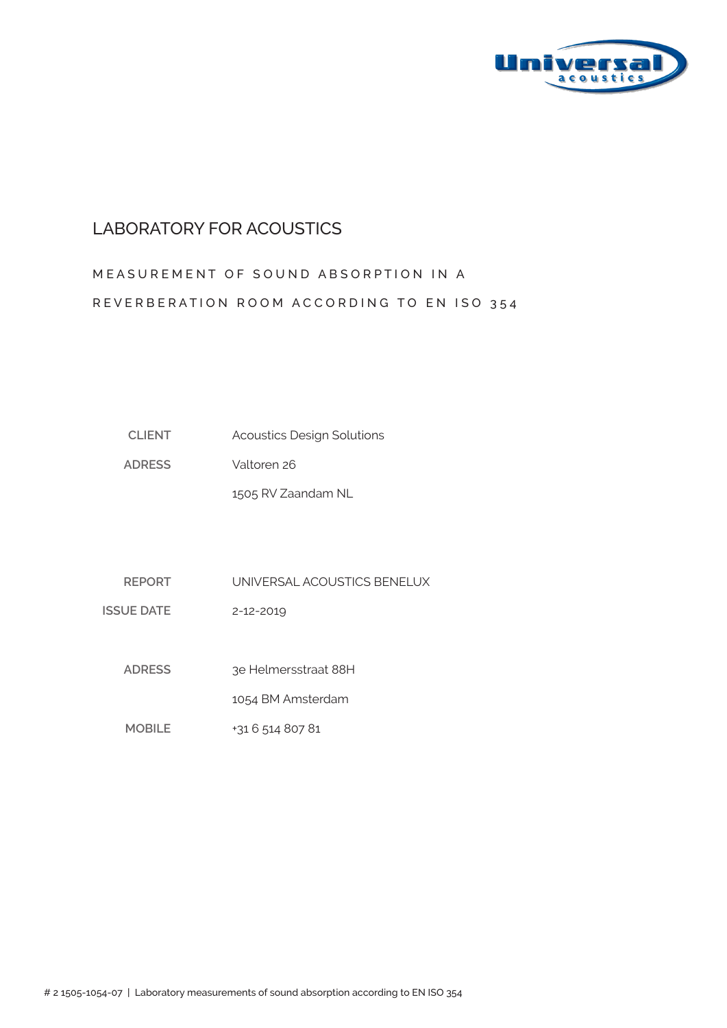

#### LABORATORY FOR ACOUSTICS

# MEASUREMENT OF SOUND ABSORPTION IN A REVERBERATION ROOM ACCORDING TO EN ISO 354

| <b>CLIENT</b> | <b>Acoustics Design Solutions</b> |
|---------------|-----------------------------------|
|---------------|-----------------------------------|

**ADRESS** Valtoren 26

1505 RV Zaandam NL

**REPORT** UNIVERSAL ACOUSTICS BENELUX

**ISSUE DATE** 2-12-2019

> **ADRESS**  3e Helmersstraat 88H

> > 1054 BM Amsterdam

**MOBILE** +31 6 514 807 81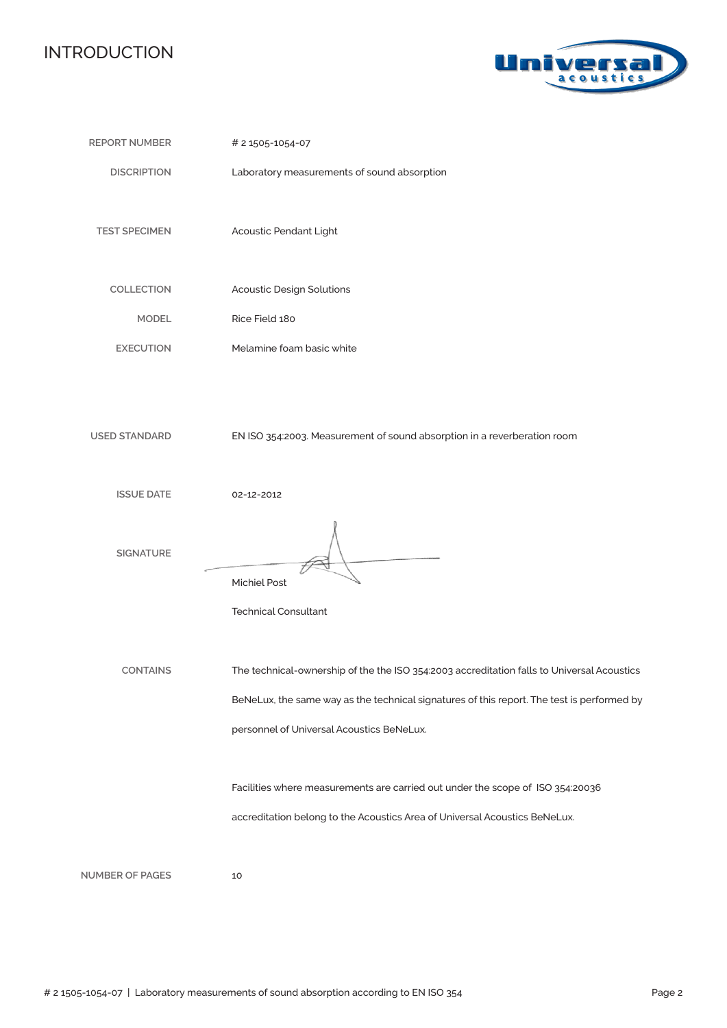### INTRODUCTION



| <b>REPORT NUMBER</b>   | # 2 1505-1054-07                                                                                                                                                                                                                                                                                                        |
|------------------------|-------------------------------------------------------------------------------------------------------------------------------------------------------------------------------------------------------------------------------------------------------------------------------------------------------------------------|
| <b>DISCRIPTION</b>     | Laboratory measurements of sound absorption                                                                                                                                                                                                                                                                             |
| <b>TEST SPECIMEN</b>   | Acoustic Pendant Light                                                                                                                                                                                                                                                                                                  |
| COLLECTION             | <b>Acoustic Design Solutions</b>                                                                                                                                                                                                                                                                                        |
| <b>MODEL</b>           | Rice Field 180                                                                                                                                                                                                                                                                                                          |
| <b>EXECUTION</b>       | Melamine foam basic white                                                                                                                                                                                                                                                                                               |
| <b>USED STANDARD</b>   | EN ISO 354:2003. Measurement of sound absorption in a reverberation room                                                                                                                                                                                                                                                |
| <b>ISSUE DATE</b>      | 02-12-2012                                                                                                                                                                                                                                                                                                              |
| <b>SIGNATURE</b>       | <b>Michiel Post</b><br><b>Technical Consultant</b>                                                                                                                                                                                                                                                                      |
| <b>CONTAINS</b>        | The technical-ownership of the the ISO 354:2003 accreditation falls to Universal Acoustics<br>BeNeLux, the same way as the technical signatures of this report. The test is performed by<br>personnel of Universal Acoustics BeNeLux.<br>Facilities where measurements are carried out under the scope of ISO 354:20036 |
|                        | accreditation belong to the Acoustics Area of Universal Acoustics BeNeLux.                                                                                                                                                                                                                                              |
| <b>NUMBER OF PAGES</b> | 10                                                                                                                                                                                                                                                                                                                      |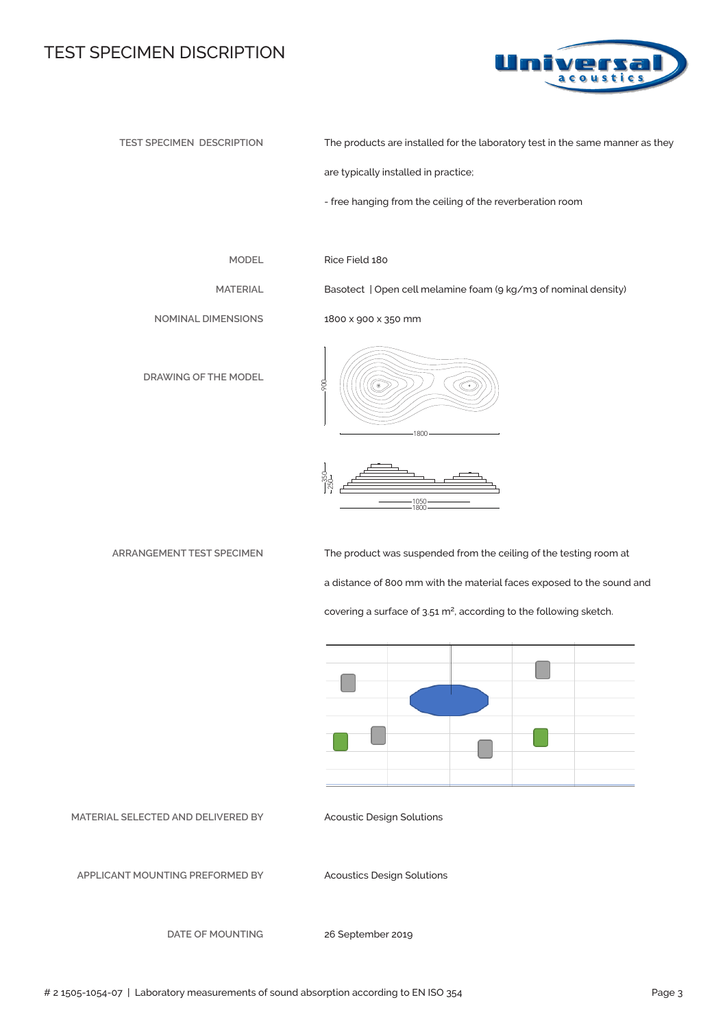#### TEST SPECIMEN DISCRIPTION



**TEST SPECIMEN DESCRIPTION**

The products are installed for the laboratory test in the same manner as they

are typically installed in practice;

- free hanging from the ceiling of the reverberation room

**MODEL**

**MATERIAL**

Rice Field 180

1800 x 900 x 350 mm

Basotect | Open cell melamine foam (9 kg/m3 of nominal density)

**NOMINAL DIMENSIONS**

**DRAWING OF THE MODEL**





**ARRANGEMENT TEST SPECIMEN** 

The product was suspended from the ceiling of the testing room at a distance of 800 mm with the material faces exposed to the sound and covering a surface of 3.51 m<sup>2</sup>, according to the following sketch.



**MATERIAL SELECTED AND DELIVERED BY**

Acoustic Design Solutions

**APPLICANT MOUNTING PREFORMED BY** 

Acoustics Design Solutions

**DATE OF MOUNTING**

26 September 2019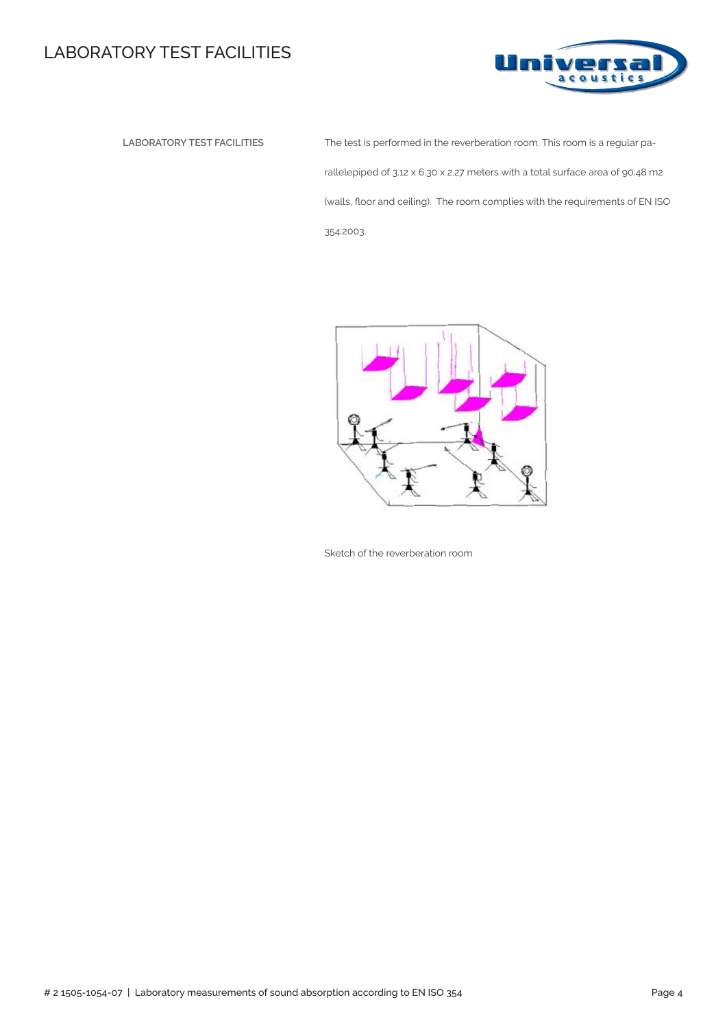## LABORATORY TEST FACILITIES



 **LABORATORY TEST FACILITIES** The test is performed in the reverberation room. This room is a regular parallelepiped of 3.12 x 6.30 x 2.27 meters with a total surface area of 90.48 m2 (walls, floor and ceiling). The room complies with the requirements of EN ISO 354:2003.



Sketch of the reverberation room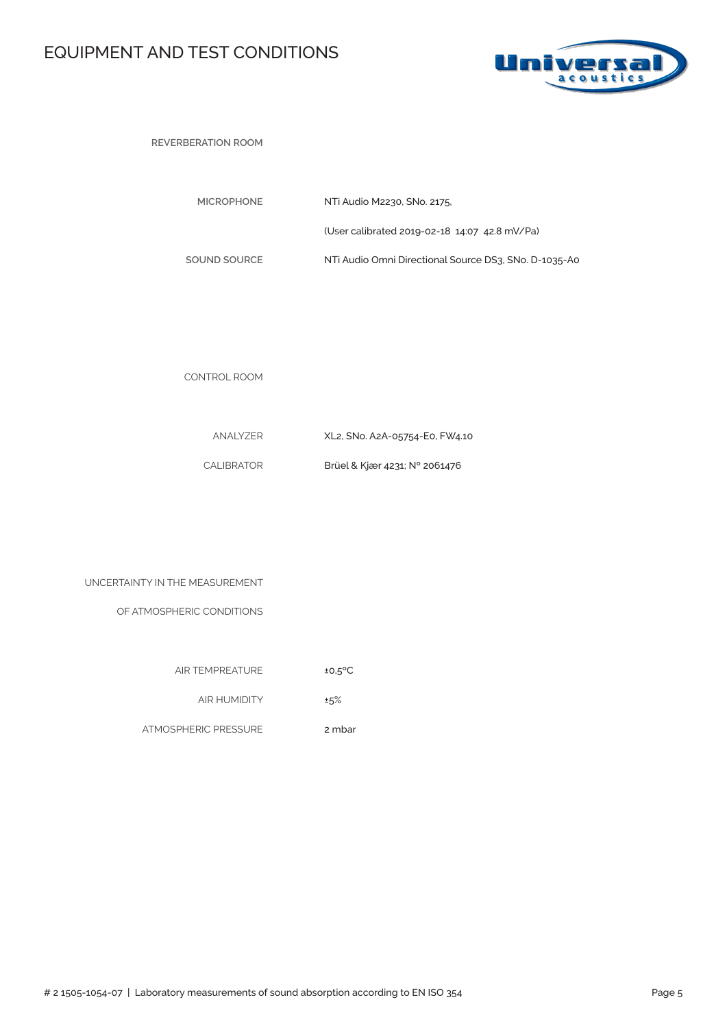## EQUIPMENT AND TEST CONDITIONS



**REVERBERATION ROOM** 

| <b>MICROPHONE</b> | NTi Audio M2230, SNo. 2175.                           |
|-------------------|-------------------------------------------------------|
|                   | (User calibrated 2019-02-18 14:07 42.8 mV/Pa)         |
| SOUND SOURCE      | NTi Audio Omni Directional Source DS3, SNo, D-1035-A0 |

CONTROL ROOM

| ANALYZER   | XL2, SNo. A2A-05754-E0, FW4.10 |
|------------|--------------------------------|
| CALIBRATOR | Brüel & Kjær 4231; N° 2061476  |

| UNCERTAINTY IN THE MEASUREMENT |  |  |  |  |
|--------------------------------|--|--|--|--|
|--------------------------------|--|--|--|--|

OF ATMOSPHERIC CONDITIONS

| <b>AIR TEMPREATURE</b> | $±0.5$ <sup>o</sup> C |
|------------------------|-----------------------|

AIR HUMIDITY ±5%

ATMOSPHERIC PRESSURE 2 mbar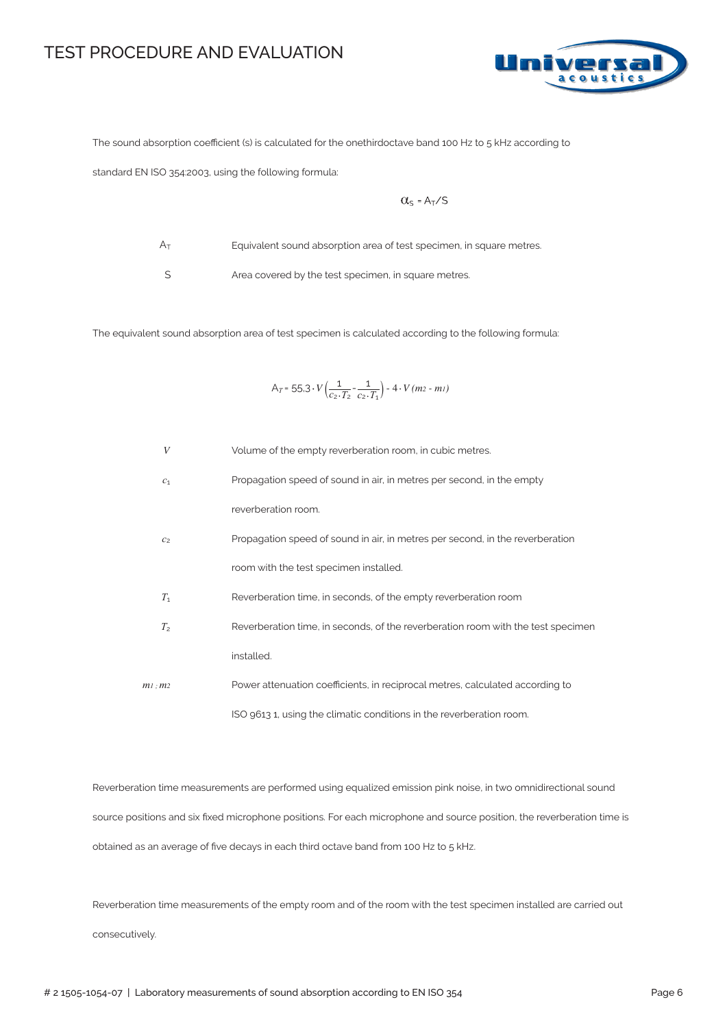#### TEST PROCEDURE AND EVALUATION



The sound absorption coefficient (s) is calculated for the onethirdoctave band 100 Hz to 5 kHz according to

standard EN ISO 354:2003, using the following formula:

$$
\alpha_{s} = A_{T}/s
$$

 $A_T$ 

Equivalent sound absorption area of test specimen, in square metres.

S

Area covered by the test specimen, in square metres.

The equivalent sound absorption area of test specimen is calculated according to the following formula:

$$
A_T = 55.3 \cdot V \left( \frac{1}{c_2 \cdot T_2} - \frac{1}{c_2 \cdot T_1} \right) - 4 \cdot V (m_2 - m_1)
$$

| $\boldsymbol{V}$ | Volume of the empty reverberation room, in cubic metres.                         |
|------------------|----------------------------------------------------------------------------------|
| c <sub>1</sub>   | Propagation speed of sound in air, in metres per second, in the empty            |
|                  | reverberation room.                                                              |
| C <sub>2</sub>   | Propagation speed of sound in air, in metres per second, in the reverberation    |
|                  | room with the test specimen installed.                                           |
| $T_1$            | Reverberation time, in seconds, of the empty reverberation room                  |
| T <sub>2</sub>   | Reverberation time, in seconds, of the reverberation room with the test specimen |
|                  | installed.                                                                       |
| $m1$ : $m2$      | Power attenuation coefficients, in reciprocal metres, calculated according to    |
|                  | ISO 9613 1, using the climatic conditions in the reverberation room.             |

Reverberation time measurements are performed using equalized emission pink noise, in two omnidirectional sound source positions and six fixed microphone positions. For each microphone and source position, the reverberation time is obtained as an average of five decays in each third octave band from 100 Hz to 5 kHz.

Reverberation time measurements of the empty room and of the room with the test specimen installed are carried out consecutively.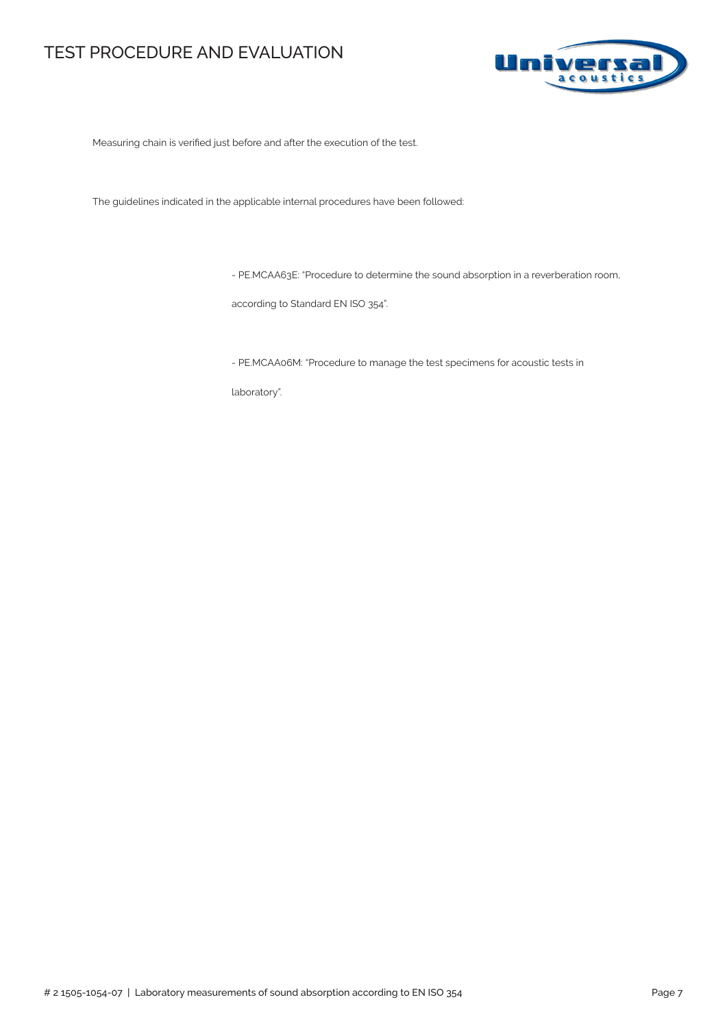#### TEST PROCEDURE AND EVALUATION



Measuring chain is verified just before and after the execution of the test.

The guidelines indicated in the applicable internal procedures have been followed:

- PE.MCAA63E: "Procedure to determine the sound absorption in a reverberation room,

according to Standard EN ISO 354".

- PE.MCAA06M: "Procedure to manage the test specimens for acoustic tests in

laboratory".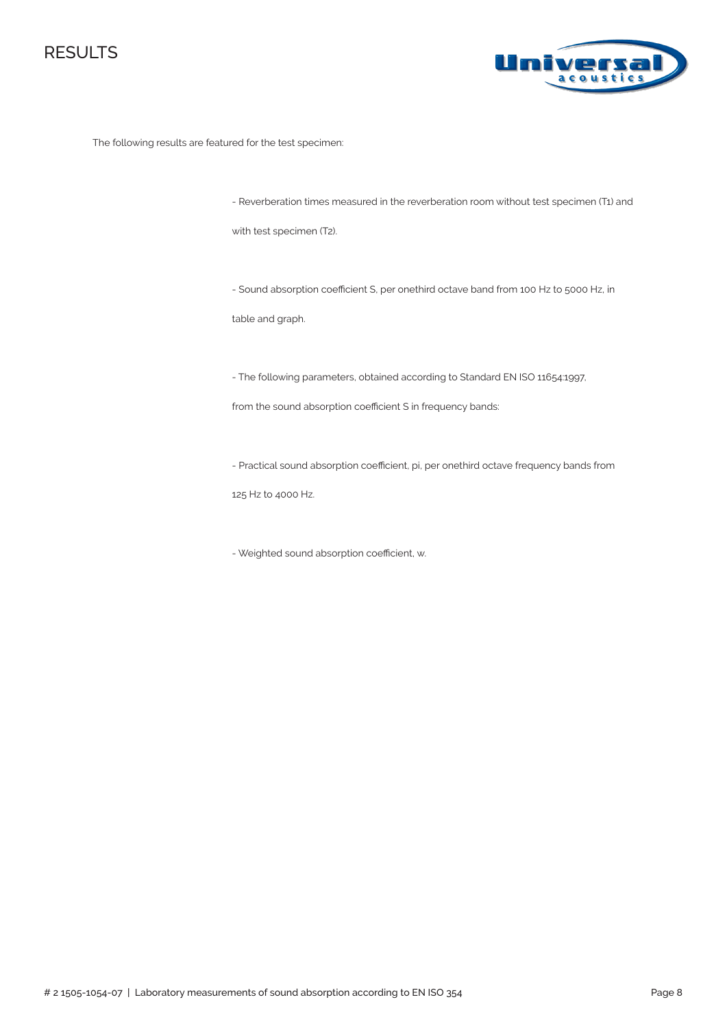



The following results are featured for the test specimen:

- Reverberation times measured in the reverberation room without test specimen (T1) and

with test specimen (T2).

- Sound absorption coefficient S, per onethird octave band from 100 Hz to 5000 Hz, in

table and graph.

- The following parameters, obtained according to Standard EN ISO 11654:1997,

from the sound absorption coefficient S in frequency bands:

- Practical sound absorption coefficient, pi, per onethird octave frequency bands from

125 Hz to 4000 Hz.

- Weighted sound absorption coefficient, αw.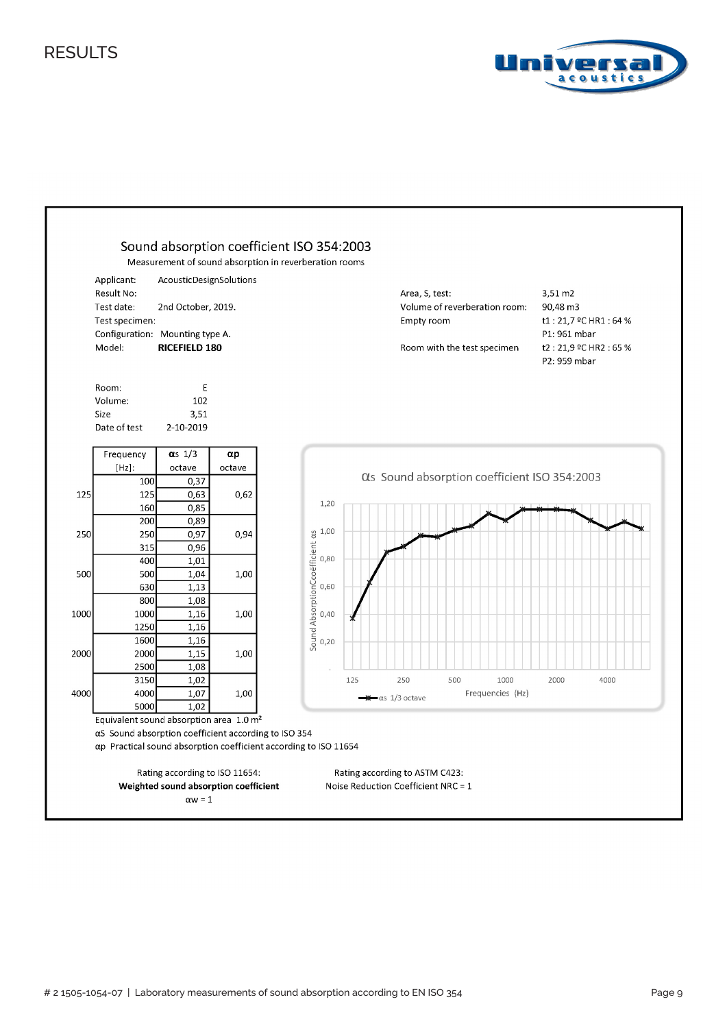